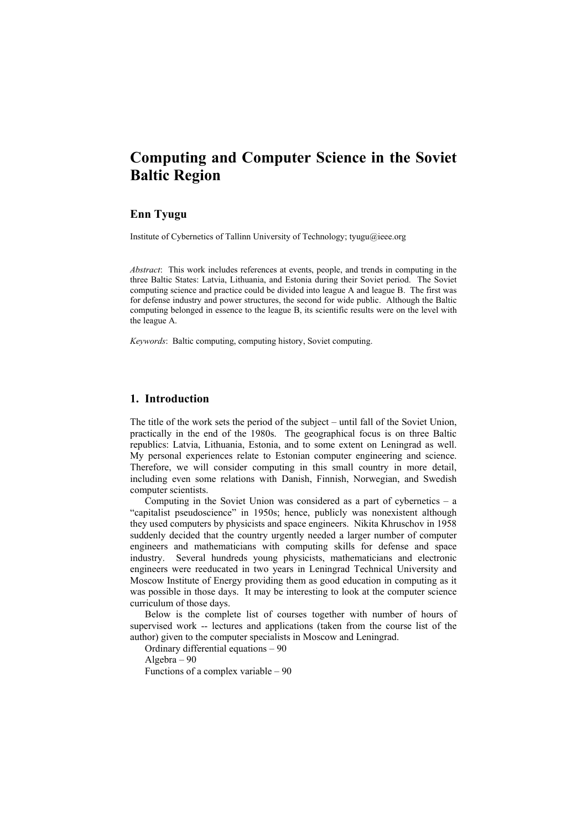# **Computing and Computer Science in the Soviet Baltic Region**

## **Enn Tyugu**

Institute of Cybernetics of Tallinn University of Technology; tyugu@ieee.org

*Abstract*: This work includes references at events, people, and trends in computing in the three Baltic States: Latvia, Lithuania, and Estonia during their Soviet period. The Soviet computing science and practice could be divided into league A and league B. The first was for defense industry and power structures, the second for wide public. Although the Baltic computing belonged in essence to the league B, its scientific results were on the level with the league A.

*Keywords*: Baltic computing, computing history, Soviet computing.

## **1. Introduction**

The title of the work sets the period of the subject – until fall of the Soviet Union, practically in the end of the 1980s. The geographical focus is on three Baltic republics: Latvia, Lithuania, Estonia, and to some extent on Leningrad as well. My personal experiences relate to Estonian computer engineering and science. Therefore, we will consider computing in this small country in more detail, including even some relations with Danish, Finnish, Norwegian, and Swedish computer scientists.

Computing in the Soviet Union was considered as a part of cybernetics  $-$  a "capitalist pseudoscience" in 1950s; hence, publicly was nonexistent although they used computers by physicists and space engineers. Nikita Khruschov in 1958 suddenly decided that the country urgently needed a larger number of computer engineers and mathematicians with computing skills for defense and space industry. Several hundreds young physicists, mathematicians and electronic engineers were reeducated in two years in Leningrad Technical University and Moscow Institute of Energy providing them as good education in computing as it was possible in those days. It may be interesting to look at the computer science curriculum of those days.

Below is the complete list of courses together with number of hours of supervised work -- lectures and applications (taken from the course list of the author) given to the computer specialists in Moscow and Leningrad.

Ordinary differential equations – 90

Algebra – 90

Functions of a complex variable – 90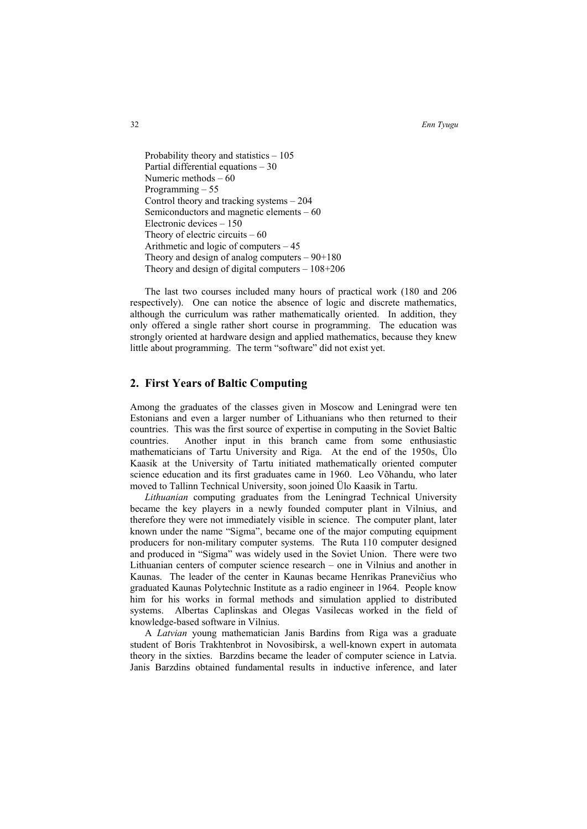32 *Enn Tyugu* 

Probability theory and statistics – 105 Partial differential equations – 30 Numeric methods – 60 Programming – 55 Control theory and tracking systems – 204 Semiconductors and magnetic elements – 60 Electronic devices – 150 Theory of electric circuits – 60 Arithmetic and logic of computers – 45 Theory and design of analog computers  $-90+180$ Theory and design of digital computers – 108+206

The last two courses included many hours of practical work (180 and 206 respectively). One can notice the absence of logic and discrete mathematics, although the curriculum was rather mathematically oriented. In addition, they only offered a single rather short course in programming. The education was strongly oriented at hardware design and applied mathematics, because they knew little about programming. The term "software" did not exist yet.

## **2. First Years of Baltic Computing**

Among the graduates of the classes given in Moscow and Leningrad were ten Estonians and even a larger number of Lithuanians who then returned to their countries. This was the first source of expertise in computing in the Soviet Baltic countries. Another input in this branch came from some enthusiastic mathematicians of Tartu University and Riga. At the end of the 1950s, Ülo Kaasik at the University of Tartu initiated mathematically oriented computer science education and its first graduates came in 1960. Leo Võhandu, who later moved to Tallinn Technical University, soon joined Ülo Kaasik in Tartu.

*Lithuanian* computing graduates from the Leningrad Technical University became the key players in a newly founded computer plant in Vilnius, and therefore they were not immediately visible in science. The computer plant, later known under the name "Sigma", became one of the major computing equipment producers for non-military computer systems. The Ruta 110 computer designed and produced in "Sigma" was widely used in the Soviet Union. There were two Lithuanian centers of computer science research – one in Vilnius and another in Kaunas. The leader of the center in Kaunas became Henrikas Pranevičius who graduated Kaunas Polytechnic Institute as a radio engineer in 1964. People know him for his works in formal methods and simulation applied to distributed systems. Albertas Caplinskas and Olegas Vasilecas worked in the field of knowledge-based software in Vilnius.

A *Latvian* young mathematician Janis Bardins from Riga was a graduate student of Boris Trakhtenbrot in Novosibirsk, a well-known expert in automata theory in the sixties. Barzdins became the leader of computer science in Latvia. Janis Barzdins obtained fundamental results in inductive inference, and later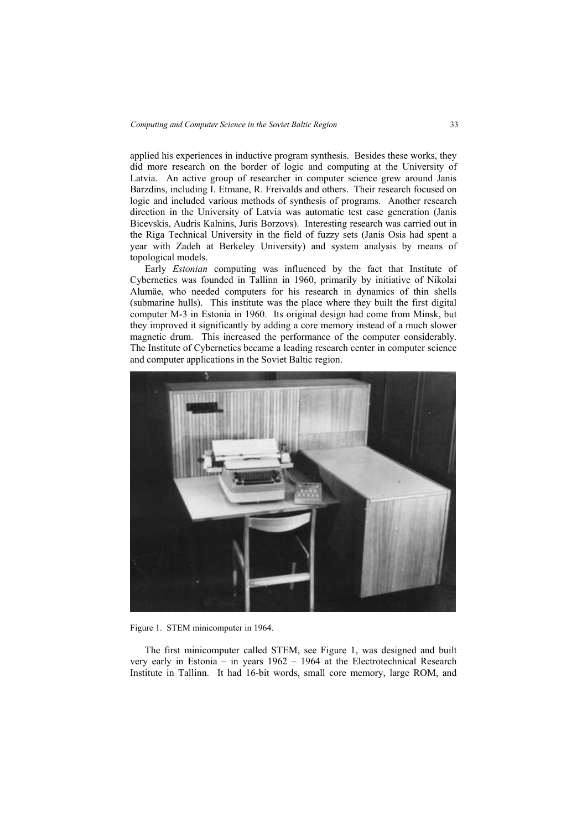applied his experiences in inductive program synthesis. Besides these works, they did more research on the border of logic and computing at the University of Latvia. An active group of researcher in computer science grew around Janis Barzdins, including I. Etmane, R. Freivalds and others. Their research focused on logic and included various methods of synthesis of programs. Another research direction in the University of Latvia was automatic test case generation (Janis Bicevskis, Audris Kalnins, Juris Borzovs). Interesting research was carried out in the Riga Technical University in the field of fuzzy sets (Janis Osis had spent a year with Zadeh at Berkeley University) and system analysis by means of topological models.

Early *Estonian* computing was influenced by the fact that Institute of Cybernetics was founded in Tallinn in 1960, primarily by initiative of Nikolai Alumäe, who needed computers for his research in dynamics of thin shells (submarine hulls). This institute was the place where they built the first digital computer M-3 in Estonia in 1960. Its original design had come from Minsk, but they improved it significantly by adding a core memory instead of a much slower magnetic drum. This increased the performance of the computer considerably. The Institute of Cybernetics became a leading research center in computer science and computer applications in the Soviet Baltic region.



Figure 1. STEM minicomputer in 1964.

The first minicomputer called STEM, see Figure 1, was designed and built very early in Estonia – in years 1962 – 1964 at the Electrotechnical Research Institute in Tallinn. It had 16-bit words, small core memory, large ROM, and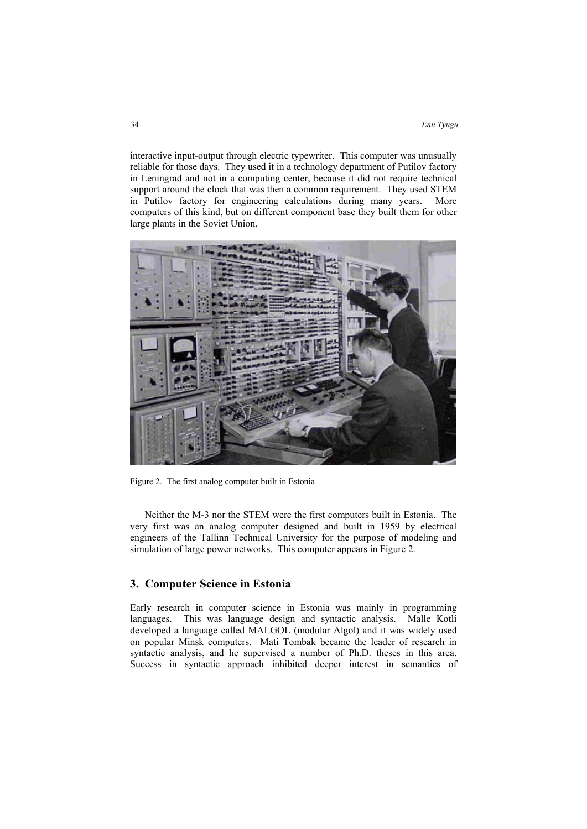interactive input-output through electric typewriter. This computer was unusually reliable for those days. They used it in a technology department of Putilov factory in Leningrad and not in a computing center, because it did not require technical support around the clock that was then a common requirement. They used STEM in Putilov factory for engineering calculations during many years. More computers of this kind, but on different component base they built them for other large plants in the Soviet Union.



Figure 2. The first analog computer built in Estonia.

Neither the M-3 nor the STEM were the first computers built in Estonia. The very first was an analog computer designed and built in 1959 by electrical engineers of the Tallinn Technical University for the purpose of modeling and simulation of large power networks. This computer appears in Figure 2.

## **3. Computer Science in Estonia**

Early research in computer science in Estonia was mainly in programming languages. This was language design and syntactic analysis. Malle Kotli developed a language called MALGOL (modular Algol) and it was widely used on popular Minsk computers. Mati Tombak became the leader of research in syntactic analysis, and he supervised a number of Ph.D. theses in this area. Success in syntactic approach inhibited deeper interest in semantics of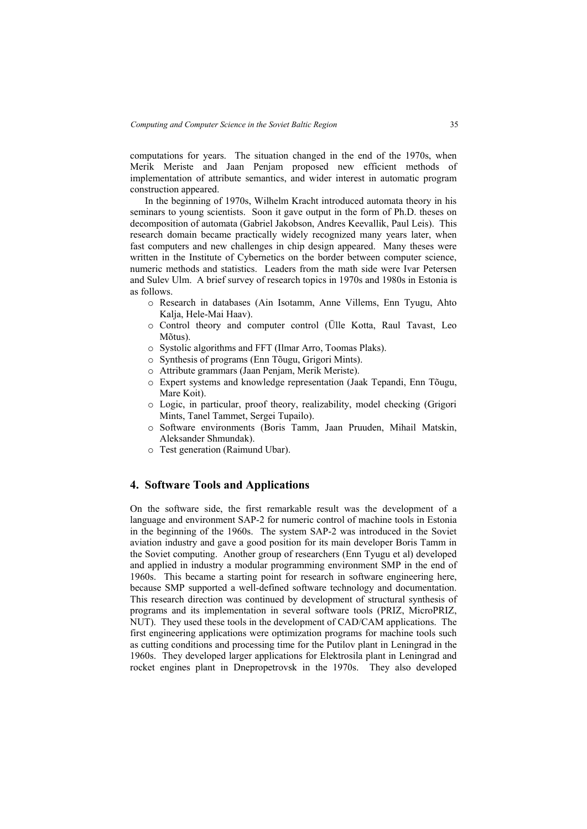computations for years. The situation changed in the end of the 1970s, when Merik Meriste and Jaan Penjam proposed new efficient methods of implementation of attribute semantics, and wider interest in automatic program construction appeared.

In the beginning of 1970s, Wilhelm Kracht introduced automata theory in his seminars to young scientists. Soon it gave output in the form of Ph.D. theses on decomposition of automata (Gabriel Jakobson, Andres Keevallik, Paul Leis). This research domain became practically widely recognized many years later, when fast computers and new challenges in chip design appeared. Many theses were written in the Institute of Cybernetics on the border between computer science, numeric methods and statistics. Leaders from the math side were Ivar Petersen and Sulev Ulm. A brief survey of research topics in 1970s and 1980s in Estonia is as follows.

- o Research in databases (Ain Isotamm, Anne Villems, Enn Tyugu, Ahto Kalja, Hele-Mai Haav).
- o Control theory and computer control (Ülle Kotta, Raul Tavast, Leo Mõtus).
- o Systolic algorithms and FFT (Ilmar Arro, Toomas Plaks).
- o Synthesis of programs (Enn Tõugu, Grigori Mints).
- o Attribute grammars (Jaan Penjam, Merik Meriste).
- o Expert systems and knowledge representation (Jaak Tepandi, Enn Tõugu, Mare Koit).
- o Logic, in particular, proof theory, realizability, model checking (Grigori Mints, Tanel Tammet, Sergei Tupailo).
- o Software environments (Boris Tamm, Jaan Pruuden, Mihail Matskin, Aleksander Shmundak).
- o Test generation (Raimund Ubar).

#### **4. Software Tools and Applications**

On the software side, the first remarkable result was the development of a language and environment SAP-2 for numeric control of machine tools in Estonia in the beginning of the 1960s. The system SAP-2 was introduced in the Soviet aviation industry and gave a good position for its main developer Boris Tamm in the Soviet computing. Another group of researchers (Enn Tyugu et al) developed and applied in industry a modular programming environment SMP in the end of 1960s. This became a starting point for research in software engineering here, because SMP supported a well-defined software technology and documentation. This research direction was continued by development of structural synthesis of programs and its implementation in several software tools (PRIZ, MicroPRIZ, NUT). They used these tools in the development of CAD/CAM applications. The first engineering applications were optimization programs for machine tools such as cutting conditions and processing time for the Putilov plant in Leningrad in the 1960s. They developed larger applications for Elektrosila plant in Leningrad and rocket engines plant in Dnepropetrovsk in the 1970s. They also developed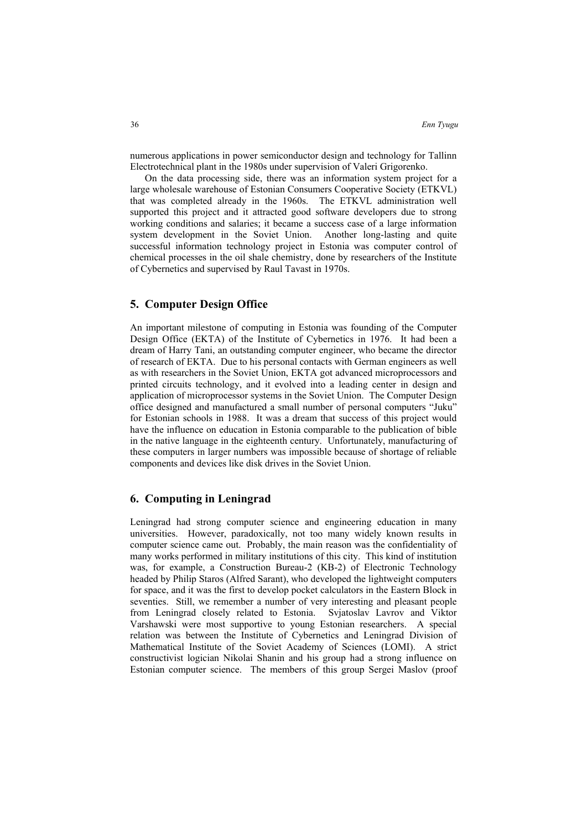numerous applications in power semiconductor design and technology for Tallinn Electrotechnical plant in the 1980s under supervision of Valeri Grigorenko.

On the data processing side, there was an information system project for a large wholesale warehouse of Estonian Consumers Cooperative Society (ETKVL) that was completed already in the 1960s. The ETKVL administration well supported this project and it attracted good software developers due to strong working conditions and salaries; it became a success case of a large information system development in the Soviet Union. Another long-lasting and quite successful information technology project in Estonia was computer control of chemical processes in the oil shale chemistry, done by researchers of the Institute of Cybernetics and supervised by Raul Tavast in 1970s.

#### **5. Computer Design Office**

An important milestone of computing in Estonia was founding of the Computer Design Office (EKTA) of the Institute of Cybernetics in 1976. It had been a dream of Harry Tani, an outstanding computer engineer, who became the director of research of EKTA. Due to his personal contacts with German engineers as well as with researchers in the Soviet Union, EKTA got advanced microprocessors and printed circuits technology, and it evolved into a leading center in design and application of microprocessor systems in the Soviet Union. The Computer Design office designed and manufactured a small number of personal computers "Juku" for Estonian schools in 1988. It was a dream that success of this project would have the influence on education in Estonia comparable to the publication of bible in the native language in the eighteenth century. Unfortunately, manufacturing of these computers in larger numbers was impossible because of shortage of reliable components and devices like disk drives in the Soviet Union.

#### **6. Computing in Leningrad**

Leningrad had strong computer science and engineering education in many universities. However, paradoxically, not too many widely known results in computer science came out. Probably, the main reason was the confidentiality of many works performed in military institutions of this city. This kind of institution was, for example, a Construction Bureau-2 (KB-2) of Electronic Technology headed by Philip Staros (Alfred Sarant), who developed the lightweight computers for space, and it was the first to develop pocket calculators in the Eastern Block in seventies. Still, we remember a number of very interesting and pleasant people from Leningrad closely related to Estonia. Svjatoslav Lavrov and Viktor Varshawski were most supportive to young Estonian researchers. A special relation was between the Institute of Cybernetics and Leningrad Division of Mathematical Institute of the Soviet Academy of Sciences (LOMI). A strict constructivist logician Nikolai Shanin and his group had a strong influence on Estonian computer science. The members of this group Sergei Maslov (proof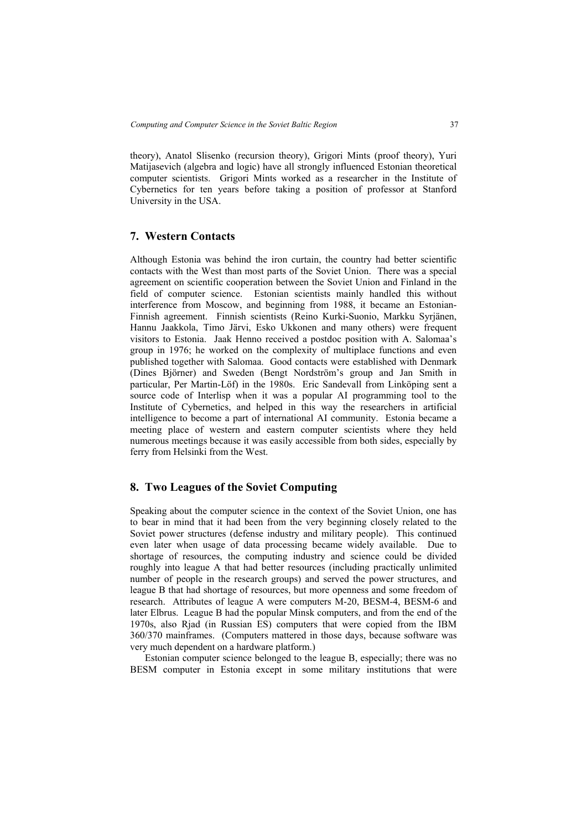theory), Anatol Slisenko (recursion theory), Grigori Mints (proof theory), Yuri Matijasevich (algebra and logic) have all strongly influenced Estonian theoretical computer scientists. Grigori Mints worked as a researcher in the Institute of Cybernetics for ten years before taking a position of professor at Stanford University in the USA.

## **7. Western Contacts**

Although Estonia was behind the iron curtain, the country had better scientific contacts with the West than most parts of the Soviet Union. There was a special agreement on scientific cooperation between the Soviet Union and Finland in the field of computer science. Estonian scientists mainly handled this without interference from Moscow, and beginning from 1988, it became an Estonian-Finnish agreement. Finnish scientists (Reino Kurki-Suonio, Markku Syrjänen, Hannu Jaakkola, Timo Järvi, Esko Ukkonen and many others) were frequent visitors to Estonia. Jaak Henno received a postdoc position with A. Salomaa's group in 1976; he worked on the complexity of multiplace functions and even published together with Salomaa. Good contacts were established with Denmark (Dines Björner) and Sweden (Bengt Nordström's group and Jan Smith in particular, Per Martin-Löf) in the 1980s. Eric Sandevall from Linköping sent a source code of Interlisp when it was a popular AI programming tool to the Institute of Cybernetics, and helped in this way the researchers in artificial intelligence to become a part of international AI community. Estonia became a meeting place of western and eastern computer scientists where they held numerous meetings because it was easily accessible from both sides, especially by ferry from Helsinki from the West.

### **8. Two Leagues of the Soviet Computing**

Speaking about the computer science in the context of the Soviet Union, one has to bear in mind that it had been from the very beginning closely related to the Soviet power structures (defense industry and military people). This continued even later when usage of data processing became widely available. Due to shortage of resources, the computing industry and science could be divided roughly into league A that had better resources (including practically unlimited number of people in the research groups) and served the power structures, and league B that had shortage of resources, but more openness and some freedom of research. Attributes of league A were computers M-20, BESM-4, BESM-6 and later Elbrus. League B had the popular Minsk computers, and from the end of the 1970s, also Rjad (in Russian ES) computers that were copied from the IBM 360/370 mainframes. (Computers mattered in those days, because software was very much dependent on a hardware platform.)

Estonian computer science belonged to the league B, especially; there was no BESM computer in Estonia except in some military institutions that were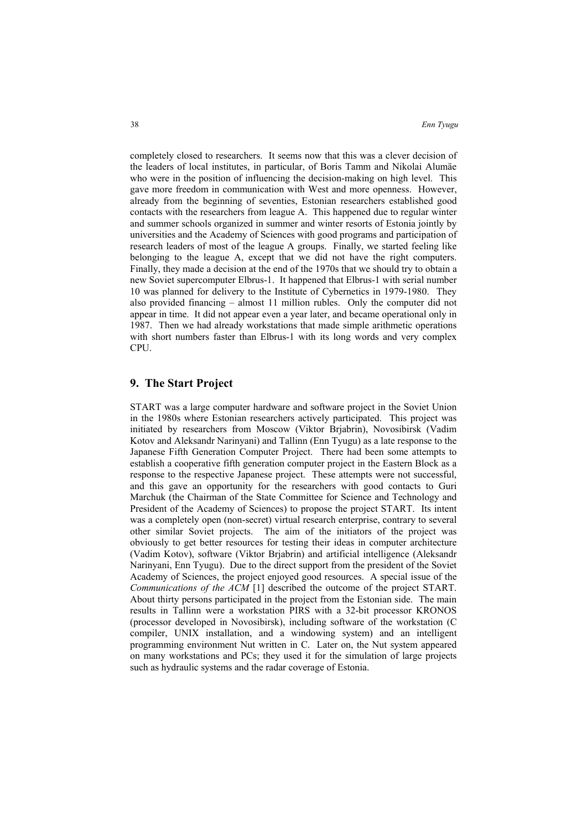completely closed to researchers. It seems now that this was a clever decision of the leaders of local institutes, in particular, of Boris Tamm and Nikolai Alumäe who were in the position of influencing the decision-making on high level. This gave more freedom in communication with West and more openness. However, already from the beginning of seventies, Estonian researchers established good contacts with the researchers from league A. This happened due to regular winter and summer schools organized in summer and winter resorts of Estonia jointly by universities and the Academy of Sciences with good programs and participation of research leaders of most of the league A groups. Finally, we started feeling like belonging to the league A, except that we did not have the right computers. Finally, they made a decision at the end of the 1970s that we should try to obtain a new Soviet supercomputer Elbrus-1. It happened that Elbrus-1 with serial number 10 was planned for delivery to the Institute of Cybernetics in 1979-1980. They also provided financing – almost 11 million rubles. Only the computer did not appear in time. It did not appear even a year later, and became operational only in 1987. Then we had already workstations that made simple arithmetic operations with short numbers faster than Elbrus-1 with its long words and very complex CPU.

## **9. The Start Project**

START was a large computer hardware and software project in the Soviet Union in the 1980s where Estonian researchers actively participated. This project was initiated by researchers from Moscow (Viktor Brjabrin), Novosibirsk (Vadim Kotov and Aleksandr Narinyani) and Tallinn (Enn Tyugu) as a late response to the Japanese Fifth Generation Computer Project. There had been some attempts to establish a cooperative fifth generation computer project in the Eastern Block as a response to the respective Japanese project. These attempts were not successful, and this gave an opportunity for the researchers with good contacts to Guri Marchuk (the Chairman of the State Committee for Science and Technology and President of the Academy of Sciences) to propose the project START. Its intent was a completely open (non-secret) virtual research enterprise, contrary to several other similar Soviet projects. The aim of the initiators of the project was obviously to get better resources for testing their ideas in computer architecture (Vadim Kotov), software (Viktor Brjabrin) and artificial intelligence (Aleksandr Narinyani, Enn Tyugu). Due to the direct support from the president of the Soviet Academy of Sciences, the project enjoyed good resources. A special issue of the *Communications of the ACM* [1] described the outcome of the project START. About thirty persons participated in the project from the Estonian side. The main results in Tallinn were a workstation PIRS with a 32-bit processor KRONOS (processor developed in Novosibirsk), including software of the workstation (C compiler, UNIX installation, and a windowing system) and an intelligent programming environment Nut written in C. Later on, the Nut system appeared on many workstations and PCs; they used it for the simulation of large projects such as hydraulic systems and the radar coverage of Estonia.